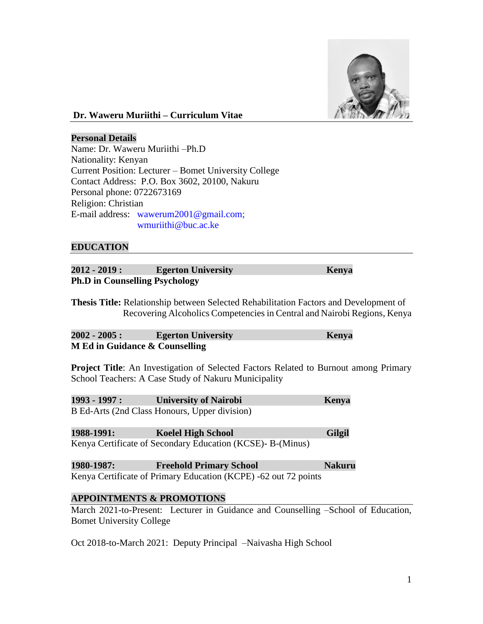

# **Dr. Waweru Muriithi – Curriculum Vitae**

#### **Personal Details**

Name: Dr. Waweru Muriithi –Ph.D Nationality: Kenyan Current Position: Lecturer – Bomet University College Contact Address: P.O. Box 3602, 20100, Nakuru Personal phone: 0722673169 Religion: Christian E-mail address: [wawerum2001@gmail.com;](mailto:wawerum2001@gmail.com) wmuriithi@buc.ac.ke

### **EDUCATION**

| $2012 - 2019:$                        | <b>Egerton University</b> | Kenya |  |  |  |
|---------------------------------------|---------------------------|-------|--|--|--|
| <b>Ph.D in Counselling Psychology</b> |                           |       |  |  |  |

**Thesis Title:** Relationship between Selected Rehabilitation Factors and Development of Recovering Alcoholics Competencies in Central and Nairobi Regions, Kenya

| $2002 - 2005:$                 | <b>Egerton University</b> | Kenya |
|--------------------------------|---------------------------|-------|
| M Ed in Guidance & Counselling |                           |       |

**Project Title**: An Investigation of Selected Factors Related to Burnout among Primary School Teachers: A Case Study of Nakuru Municipality

**1993 - 1997 : University of Nairobi Kenya** B Ed-Arts (2nd Class Honours, Upper division)

#### **1988-1991: Koelel High School Gilgil** Kenya Certificate of Secondary Education (KCSE)- B-(Minus)

**1980-1987: Freehold Primary School Nakuru** Kenya Certificate of Primary Education (KCPE) -62 out 72 points

### **APPOINTMENTS & PROMOTIONS**

March 2021-to-Present: Lecturer in Guidance and Counselling –School of Education, Bomet University College

Oct 2018-to-March 2021: Deputy Principal –Naivasha High School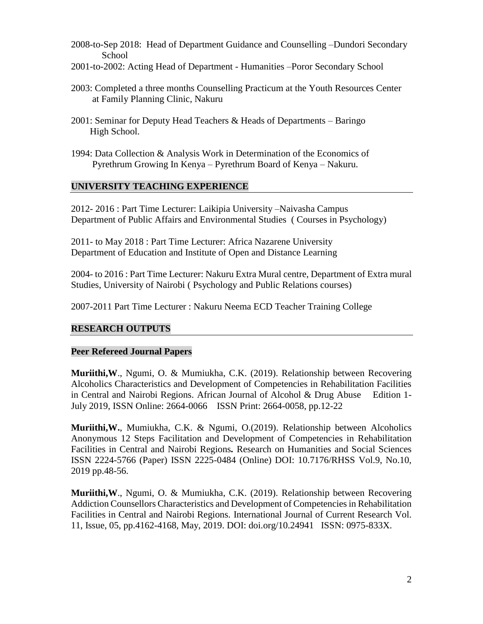- 2008-to-Sep 2018: Head of Department Guidance and Counselling –Dundori Secondary School
- 2001-to-2002: Acting Head of Department Humanities –Poror Secondary School
- 2003: Completed a three months Counselling Practicum at the Youth Resources Center at Family Planning Clinic, Nakuru
- 2001: Seminar for Deputy Head Teachers & Heads of Departments Baringo High School.
- 1994: Data Collection & Analysis Work in Determination of the Economics of Pyrethrum Growing In Kenya – Pyrethrum Board of Kenya – Nakuru.

### **UNIVERSITY TEACHING EXPERIENCE**

2012- 2016 : Part Time Lecturer: Laikipia University –Naivasha Campus Department of Public Affairs and Environmental Studies ( Courses in Psychology)

2011- to May 2018 : Part Time Lecturer: Africa Nazarene University Department of Education and Institute of Open and Distance Learning

2004- to 2016 : Part Time Lecturer: Nakuru Extra Mural centre, Department of Extra mural Studies, University of Nairobi ( Psychology and Public Relations courses)

2007-2011 Part Time Lecturer : Nakuru Neema ECD Teacher Training College

### **RESEARCH OUTPUTS**

### **Peer Refereed Journal Papers**

**Muriithi,W**., Ngumi, O. & Mumiukha, C.K. (2019). Relationship between Recovering Alcoholics Characteristics and Development of Competencies in Rehabilitation Facilities in Central and Nairobi Regions. African Journal of Alcohol & Drug Abuse Edition 1- July 2019, ISSN Online: 2664-0066 ISSN Print: 2664-0058, pp.12-22

**Muriithi,W.**, Mumiukha, C.K. & Ngumi, O.(2019). Relationship between Alcoholics Anonymous 12 Steps Facilitation and Development of Competencies in Rehabilitation Facilities in Central and Nairobi Regions*.* Research on Humanities and Social Sciences ISSN 2224-5766 (Paper) ISSN 2225-0484 (Online) DOI: 10.7176/RHSS Vol.9, No.10, 2019 pp.48-56.

**Muriithi,W**., Ngumi, O. & Mumiukha, C.K. (2019). Relationship between Recovering Addiction Counsellors Characteristics and Development of Competencies in Rehabilitation Facilities in Central and Nairobi Regions. International Journal of Current Research Vol. 11, Issue, 05, pp.4162-4168, May, 2019. DOI: doi.org/10.24941 ISSN: 0975-833X.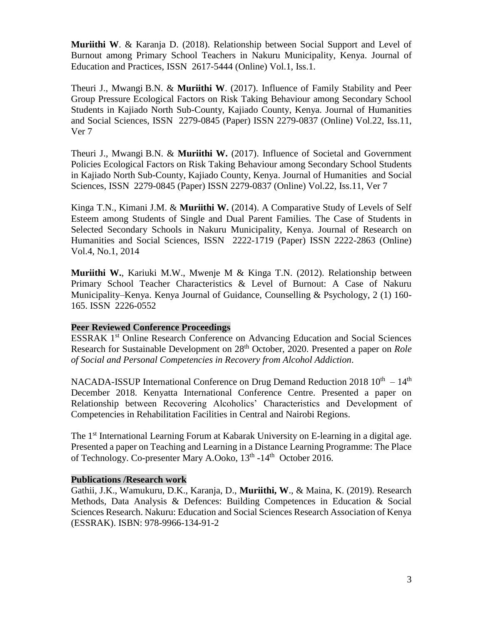**Muriithi W**. & Karanja D. (2018). Relationship between Social Support and Level of Burnout among Primary School Teachers in Nakuru Municipality, Kenya. Journal of Education and Practices, ISSN 2617-5444 (Online) Vol.1, Iss.1.

Theuri J., Mwangi B.N. & **Muriithi W**. (2017). Influence of Family Stability and Peer Group Pressure Ecological Factors on Risk Taking Behaviour among Secondary School Students in Kajiado North Sub-County, Kajiado County, Kenya. Journal of Humanities and Social Sciences, ISSN 2279-0845 (Paper) ISSN 2279-0837 (Online) Vol.22, Iss.11, Ver 7

Theuri J., Mwangi B.N. & **Muriithi W.** (2017). Influence of Societal and Government Policies Ecological Factors on Risk Taking Behaviour among Secondary School Students in Kajiado North Sub-County, Kajiado County, Kenya. Journal of Humanities and Social Sciences, ISSN 2279-0845 (Paper) ISSN 2279-0837 (Online) Vol.22, Iss.11, Ver 7

Kinga T.N., Kimani J.M. & **Muriithi W.** (2014). A Comparative Study of Levels of Self Esteem among Students of Single and Dual Parent Families. The Case of Students in Selected Secondary Schools in Nakuru Municipality, Kenya. Journal of Research on Humanities and Social Sciences, ISSN 2222-1719 (Paper) ISSN 2222-2863 (Online) Vol.4, No.1, 2014

**Muriithi W.**, Kariuki M.W., Mwenje M & Kinga T.N. (2012). Relationship between Primary School Teacher Characteristics & Level of Burnout: A Case of Nakuru Municipality–Kenya. Kenya Journal of Guidance, Counselling & Psychology, 2 (1) 160- 165. ISSN 2226-0552

### **Peer Reviewed Conference Proceedings**

ESSRAK 1st Online Research Conference on Advancing Education and Social Sciences Research for Sustainable Development on 28<sup>th</sup> October, 2020. Presented a paper on *Role of Social and Personal Competencies in Recovery from Alcohol Addiction*.

NACADA-ISSUP International Conference on Drug Demand Reduction 2018  $10^{th} - 14^{th}$ December 2018. Kenyatta International Conference Centre. Presented a paper on Relationship between Recovering Alcoholics' Characteristics and Development of Competencies in Rehabilitation Facilities in Central and Nairobi Regions.

The 1<sup>st</sup> International Learning Forum at Kabarak University on E-learning in a digital age. Presented a paper on Teaching and Learning in a Distance Learning Programme: The Place of Technology. Co-presenter Mary A.Ooko, 13<sup>th</sup> -14<sup>th</sup> October 2016.

### **Publications /Research work**

Gathii, J.K., Wamukuru, D.K., Karanja, D., **Muriithi, W**., & Maina, K. (2019). Research Methods, Data Analysis & Defences: Building Competences in Education & Social Sciences Research. Nakuru: Education and Social Sciences Research Association of Kenya (ESSRAK). ISBN: 978-9966-134-91-2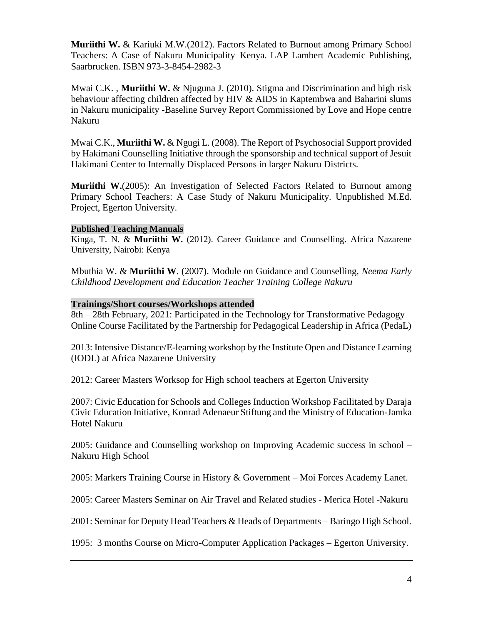**Muriithi W.** & Kariuki M.W.(2012). Factors Related to Burnout among Primary School Teachers: A Case of Nakuru Municipality–Kenya. LAP Lambert Academic Publishing, Saarbrucken. ISBN 973-3-8454-2982-3

Mwai C.K. , **Muriithi W.** & Njuguna J. (2010). Stigma and Discrimination and high risk behaviour affecting children affected by HIV & AIDS in Kaptembwa and Baharini slums in Nakuru municipality -Baseline Survey Report Commissioned by Love and Hope centre Nakuru

Mwai C.K., **Muriithi W.** & Ngugi L. (2008). The Report of Psychosocial Support provided by Hakimani Counselling Initiative through the sponsorship and technical support of Jesuit Hakimani Center to Internally Displaced Persons in larger Nakuru Districts.

**Muriithi W.**(2005): An Investigation of Selected Factors Related to Burnout among Primary School Teachers: A Case Study of Nakuru Municipality*.* Unpublished M.Ed. Project, Egerton University.

# **Published Teaching Manuals**

Kinga, T. N. & **Muriithi W.** (2012). Career Guidance and Counselling. Africa Nazarene University, Nairobi: Kenya

Mbuthia W. & **Muriithi W**. (2007). Module on Guidance and Counselling*, Neema Early Childhood Development and Education Teacher Training College Nakuru*

#### **Trainings/Short courses/Workshops attended**

8th – 28th February, 2021: Participated in the Technology for Transformative Pedagogy Online Course Facilitated by the Partnership for Pedagogical Leadership in Africa (PedaL)

2013: Intensive Distance/E-learning workshop by the Institute Open and Distance Learning (IODL) at Africa Nazarene University

2012: Career Masters Worksop for High school teachers at Egerton University

2007: Civic Education for Schools and Colleges Induction Workshop Facilitated by Daraja Civic Education Initiative, Konrad Adenaeur Stiftung and the Ministry of Education-Jamka Hotel Nakuru

2005: Guidance and Counselling workshop on Improving Academic success in school – Nakuru High School

2005: Markers Training Course in History & Government – Moi Forces Academy Lanet.

2005: Career Masters Seminar on Air Travel and Related studies - Merica Hotel -Nakuru

2001: Seminar for Deputy Head Teachers & Heads of Departments – Baringo High School.

1995: 3 months Course on Micro-Computer Application Packages – Egerton University.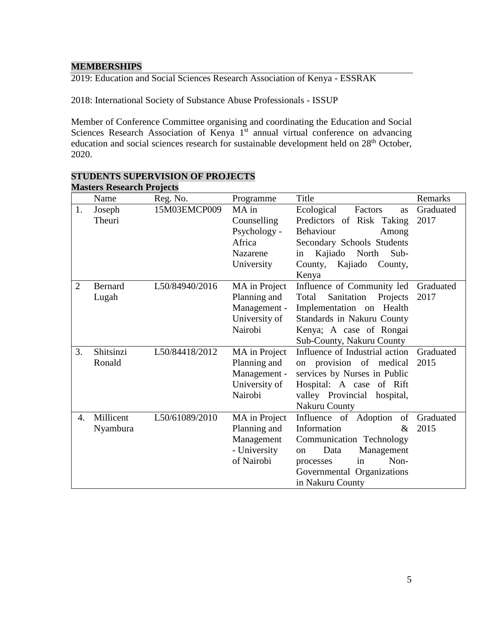# **MEMBERSHIPS**

2019: Education and Social Sciences Research Association of Kenya - ESSRAK

2018: International Society of Substance Abuse Professionals - ISSUP

Member of Conference Committee organising and coordinating the Education and Social Sciences Research Association of Kenya 1<sup>st</sup> annual virtual conference on advancing education and social sciences research for sustainable development held on 28<sup>th</sup> October, 2020.

|                | IVIASICI S INESEATUITTI OJEULS<br>Name | Reg. No.       | Programme                                                                       | Title                                                                                                                                                                                              | Remarks           |
|----------------|----------------------------------------|----------------|---------------------------------------------------------------------------------|----------------------------------------------------------------------------------------------------------------------------------------------------------------------------------------------------|-------------------|
| 1.             | Joseph<br>Theuri                       | 15M03EMCP009   | MA in<br>Counselling<br>Psychology -<br>Africa<br><b>Nazarene</b><br>University | Ecological<br>Factors<br><b>as</b><br>Predictors of Risk Taking<br>Behaviour<br>Among<br>Secondary Schools Students<br>Kajiado<br>North<br>Sub-<br>in<br>Kajiado<br>County,<br>County,<br>Kenya    | Graduated<br>2017 |
| $\overline{2}$ | Bernard<br>Lugah                       | L50/84940/2016 | MA in Project<br>Planning and<br>Management -<br>University of<br>Nairobi       | Influence of Community led<br>Sanitation<br>Projects<br>Total<br>Implementation on Health<br>Standards in Nakuru County<br>Kenya; A case of Rongai<br>Sub-County, Nakuru County                    | Graduated<br>2017 |
| 3.             | Shitsinzi<br>Ronald                    | L50/84418/2012 | MA in Project<br>Planning and<br>Management -<br>University of<br>Nairobi       | Influence of Industrial action<br>provision of medical<br><sub>on</sub><br>services by Nurses in Public<br>Hospital: A case of Rift<br>valley Provincial<br>hospital,<br>Nakuru County             | Graduated<br>2015 |
| 4.             | Millicent<br>Nyambura                  | L50/61089/2010 | MA in Project<br>Planning and<br>Management<br>- University<br>of Nairobi       | Influence of Adoption<br>of<br>Information<br>$\&$<br>Communication Technology<br>Management<br>Data<br><sub>on</sub><br>Non-<br>in<br>processes<br>Governmental Organizations<br>in Nakuru County | Graduated<br>2015 |

#### **STUDENTS SUPERVISION OF PROJECTS Masters Research Projects**